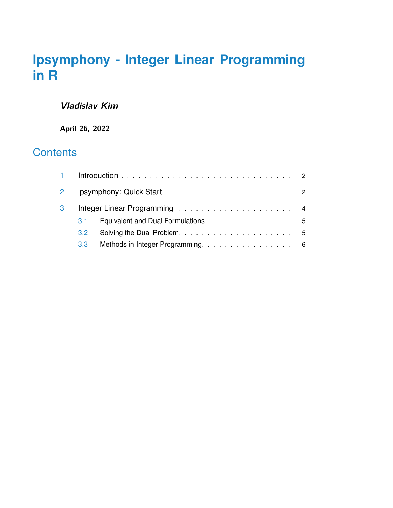# **lpsymphony - Integer Linear Programming in R**

### **Vladislav Kim**

**April 26, 2022**

## **Contents**

| 3 |               |                                    |  |
|---|---------------|------------------------------------|--|
|   | $3.1 -$       | Equivalent and Dual Formulations 5 |  |
|   | $3.2^{\circ}$ |                                    |  |
|   | 3.3           | Methods in Integer Programming. 6  |  |
|   |               |                                    |  |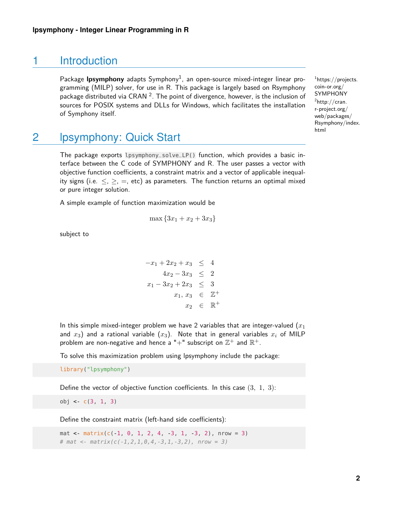### 1 Introduction

<span id="page-1-0"></span>Package **Ipsymphony** adapts Symphony<sup>1</sup>, an open-source mixed-integer linear programming (MILP) solver, for use in R. This package is largely based on Rsymphony package distributed via CRAN  $^2$ . The point of divergence, however, is the inclusion of sources for POSIX systems and DLLs for Windows, which facilitates the installation of Symphony itself.

<span id="page-1-1"></span>2 lpsymphony: Quick Start

The package exports lpsymphony\_solve\_LP() function, which provides a basic interface between the C code of SYMPHONY and R. The user passes a vector with objective function coefficients, a constraint matrix and a vector of applicable inequality signs (i.e.  $\leq$ ,  $\geq$ ,  $=$ , etc) as parameters. The function returns an optimal mixed or pure integer solution.

A simple example of function maximization would be

$$
\max\{3x_1 + x_2 + 3x_3\}
$$

subject to

$$
-x_1 + 2x_2 + x_3 \le 4
$$
  
\n
$$
4x_2 - 3x_3 \le 2
$$
  
\n
$$
x_1 - 3x_2 + 2x_3 \le 3
$$
  
\n
$$
x_1, x_3 \in \mathbb{Z}^+
$$
  
\n
$$
x_2 \in \mathbb{R}^+
$$

In this simple mixed-integer problem we have 2 variables that are integer-valued  $(x_1)$ and  $x_3$ ) and a rational variable  $(x_3)$ . Note that in general variables  $x_i$  of MILP problem are non-negative and hence a "+" subscript on  $\mathbb{Z}^+$  and  $\mathbb{R}^+.$ 

To solve this maximization problem using lpsymphony include the package:

library("lpsymphony")

Define the vector of objective function coefficients. In this case  $(3, 1, 3)$ :

obj <- c(3, 1, 3)

Define the constraint matrix (left-hand side coefficients):

mat <- matrix( $c(-1, 0, 1, 2, 4, -3, 1, -3, 2)$ , nrow = 3) # mat <-  $matrix(c(-1, 2, 1, 0, 4, -3, 1, -3, 2)$ , nrow = 3)

<sup>1</sup>[https://projects.](https://projects.coin-or.org/SYMPHONY) [coin-or.org/](https://projects.coin-or.org/SYMPHONY) [SYMPHONY](https://projects.coin-or.org/SYMPHONY)  ${}^{2}$ [http://cran.](http://cran.r-project.org/web/packages/Rsymphony/index.html) [r-project.org/](http://cran.r-project.org/web/packages/Rsymphony/index.html) [web/packages/](http://cran.r-project.org/web/packages/Rsymphony/index.html) [Rsymphony/index.](http://cran.r-project.org/web/packages/Rsymphony/index.html) [html](http://cran.r-project.org/web/packages/Rsymphony/index.html)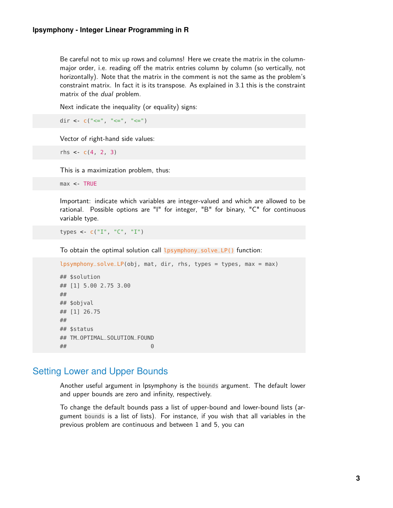Be careful not to mix up rows and columns! Here we create the matrix in the columnmajor order, i.e. reading off the matrix entries column by column (so vertically, not horizontally). Note that the matrix in the comment is not the same as the problem's constraint matrix. In fact it is its transpose. As explained in [3.1](#page-4-0) this is the constraint matrix of the dual problem.

Next indicate the inequality (or equality) signs:

dir <-  $c("<=", "<=", "<=")$ 

Vector of right-hand side values:

rhs  $\lt$ - c(4, 2, 3)

This is a maximization problem, thus:

max <- TRUE

Important: indicate which variables are integer-valued and which are allowed to be rational. Possible options are "I" for integer, "B" for binary, "C" for continuous variable type.

types <- c("I", "C", "I")

To obtain the optimal solution call lpsymphony\_solve\_LP() function:

```
lpsymphony_solve_LP(obj, mat, dir, rhs, types = types, max = max)
## $solution
## [1] 5.00 2.75 3.00
##
## $objval
## [1] 26.75
##
## $status
## TM_OPTIMAL_SOLUTION_FOUND
## 0
```
#### Setting Lower and Upper Bounds

Another useful argument in lpsymphony is the bounds argument. The default lower and upper bounds are zero and infinity, respectively.

To change the default bounds pass a list of upper-bound and lower-bound lists (argument bounds is a list of lists). For instance, if you wish that all variables in the previous problem are continuous and between 1 and 5, you can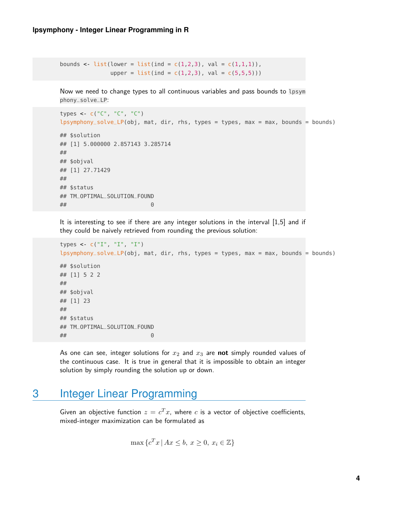```
bounds <- list(lower = list(ind = c(1,2,3), val = c(1,1,1)),
               upper = list(ind = c(1, 2, 3), val = c(5, 5, 5)))
```
Now we need to change types to all continuous variables and pass bounds to lpsym phony\_solve\_LP:

```
types <- c("C", "C", "C")
lpsymphony_solve\_LP(obj, mat, dir, rhs, types = types, max = max, bounds = bounds)## $solution
## [1] 5.000000 2.857143 3.285714
##
## $objval
## [1] 27.71429
##
## $status
## TM_OPTIMAL_SOLUTION_FOUND
## 0
```
It is interesting to see if there are any integer solutions in the interval [1,5] and if they could be naively retrieved from rounding the previous solution:

```
types <- c("I", "I", "I")
lpsymphony_solve_LP(obj, mat, dir, rhs, types = types, max = max, bounds = bounds)
## $solution
## [1] 5 2 2
##
## $objval
## [1] 23
##
## $status
## TM_OPTIMAL_SOLUTION_FOUND
## 0
```
<span id="page-3-0"></span>As one can see, integer solutions for  $x_2$  and  $x_3$  are **not** simply rounded values of the continuous case. It is true in general that it is impossible to obtain an integer solution by simply rounding the solution up or down.

## 3 Integer Linear Programming

Given an objective function  $z = c^T x$ , where c is a vector of objective coefficients, mixed-integer maximization can be formulated as

$$
\max \{c^T x \mid Ax \le b, \ x \ge 0, \ x_i \in \mathbb{Z}\}\
$$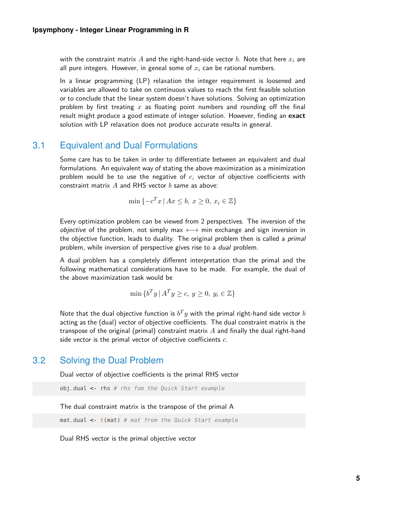with the constraint matrix A and the right-hand-side vector b. Note that here  $x_i$  are all pure integers. However, in geneal some of  $x_i$  can be rational numbers.

In a linear programming (LP) relaxation the integer requirement is loosened and variables are allowed to take on continuous values to reach the first feasible solution or to conclude that the linear system doesn't have solutions. Solving an optimization problem by first treating x as floating point numbers and rounding off the final result might produce a good estimate of integer solution. However, finding an **exact** solution with LP relaxation does not produce accurate results in general.

#### 3.1 Equivalent and Dual Formulations

<span id="page-4-0"></span>Some care has to be taken in order to differentiate between an equivalent and dual formulations. An equivalent way of stating the above maximization as a minimization problem would be to use the negative of  $c$ , vector of objective coefficients with constraint matrix  $A$  and RHS vector  $b$  same as above:

$$
\min\left\{-c^T x \mid Ax \le b, \ x \ge 0, \ x_i \in \mathbb{Z}\right\}
$$

Every optimization problem can be viewed from 2 perspectives. The inversion of the *objective* of the problem, not simply max  $\longleftrightarrow$  min exchange and sign inversion in the objective function, leads to duality. The original problem then is called a *primal* problem, while inversion of perspective gives rise to a dual problem.

A dual problem has a completely different interpretation than the primal and the following mathematical considerations have to be made. For example, the dual of the above maximization task would be

$$
\min \{b^T y \mid A^T y \ge c, y \ge 0, y_i \in \mathbb{Z}\}\
$$

Note that the dual objective function is  $b^Ty$  with the primal right-hand side vector  $b$ acting as the (dual) vector of objective coefficients. The dual constraint matrix is the transpose of the original (primal) constraint matrix  $A$  and finally the dual right-hand side vector is the primal vector of objective coefficients  $c$ .

#### 3.2 Solving the Dual Problem

<span id="page-4-1"></span>Dual vector of objective coefficients is the primal RHS vector

```
obj\_dual \leftarrow rhs # rhs fom the Quick Start example
```
The dual constraint matrix is the transpose of the primal A

 $mat\_dual \leftarrow t(mat)$  # mat from the Quick Start example

Dual RHS vector is the primal objective vector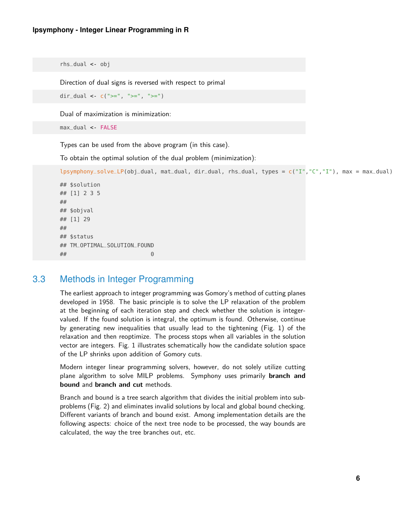```
rhs_dual <- obj
```
Direction of dual signs is reversed with respect to primal

dir\_dual <-  $c(">=", ">=", ">=")$ 

Dual of maximization is minimization:

```
max_dual <- FALSE
```
Types can be used from the above program (in this case).

To obtain the optimal solution of the dual problem (minimization):

```
lpsymphony_solve_LP(obj_dual, mat_dual, dir_dual, rhs_dual, types = c("I","C","I"), max = max_dual)
## $solution
## [1] 2 3 5
##
## $objval
## [1] 29
##
## $status
## TM_OPTIMAL_SOLUTION_FOUND
```
#### 3.3 Methods in Integer Programming

<span id="page-5-0"></span>## 0

The earliest approach to integer programming was Gomory's method of cutting planes developed in 1958. The basic principle is to solve the LP relaxation of the problem at the beginning of each iteration step and check whether the solution is integervalued. If the found solution is integral, the optimum is found. Otherwise, continue by generating new inequalities that usually lead to the tightening (Fig. [1\)](#page-6-0) of the relaxation and then reoptimize. The process stops when all variables in the solution vector are integers. Fig. [1](#page-6-0) illustrates schematically how the candidate solution space of the LP shrinks upon addition of Gomory cuts.

Modern integer linear programming solvers, however, do not solely utilize cutting plane algorithm to solve MILP problems. Symphony uses primarily **branch and bound** and **branch and cut** methods.

Branch and bound is a tree search algorithm that divides the initial problem into subproblems (Fig. [2\)](#page-6-1) and eliminates invalid solutions by local and global bound checking. Different variants of branch and bound exist. Among implementation details are the following aspects: choice of the next tree node to be processed, the way bounds are calculated, the way the tree branches out, etc.